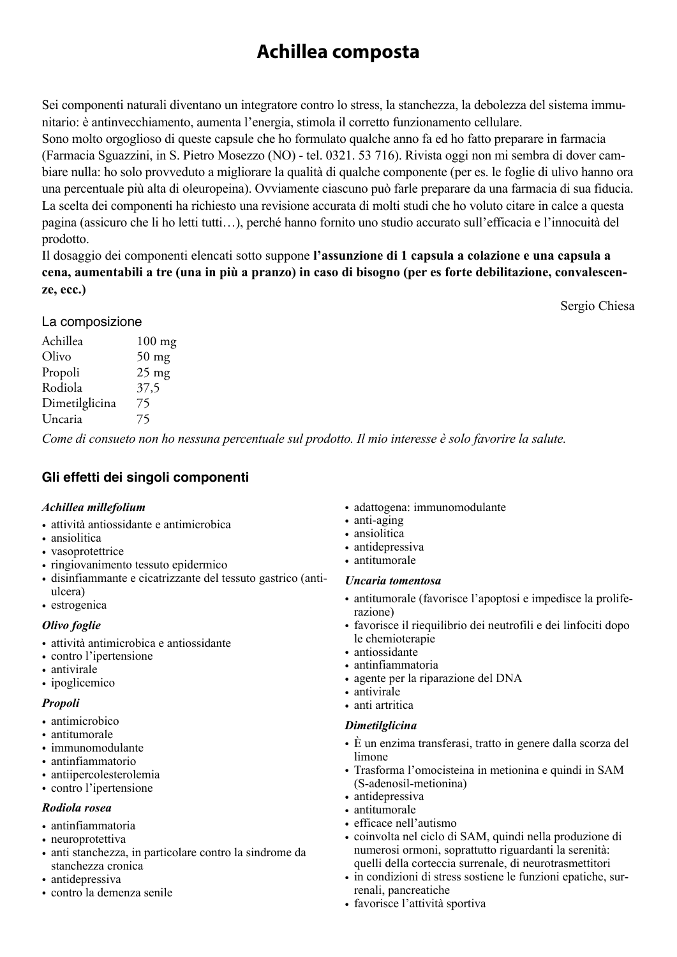# **Achillea composta**

Sei componenti naturali diventano un integratore contro lo stress, la stanchezza, la debolezza del sistema immunitario: è antinvecchiamento, aumenta l'energia, stimola il corretto funzionamento cellulare.

Sono molto orgoglioso di queste capsule che ho formulato qualche anno fa ed ho fatto preparare in farmacia (Farmacia Sguazzini, in S. Pietro Mosezzo (NO) - tel. 0321. 53 716). Rivista oggi non mi sembra di dover cambiare nulla: ho solo provveduto a migliorare la qualità di qualche componente (per es. le foglie di ulivo hanno ora una percentuale più alta di oleuropeina). Ovviamente ciascuno può farle preparare da una farmacia di sua fiducia. La scelta dei componenti ha richiesto una revisione accurata di molti studi che ho voluto citare in calce a questa pagina (assicuro che li ho letti tutti…), perché hanno fornito uno studio accurato sull'efficacia e l'innocuità del prodotto.

Il dosaggio dei componenti elencati sotto suppone **l'assunzione di 1 capsula a colazione e una capsula a cena, aumentabili a tre (una in più a pranzo) in caso di bisogno (per es forte debilitazione, convalescenze, ecc.)**

Sergio Chiesa

La composizione

| $100$ mg |
|----------|
| $50$ mg  |
| $25$ mg  |
| 37,5     |
| 75       |
| 75       |
|          |

*Come di consueto non ho nessuna percentuale sul prodotto. Il mio interesse è solo favorire la salute.* 

# **Gli effetti dei singoli componenti**

#### *Achillea millefolium*

- attività antiossidante e antimicrobica
- ansiolitica
- vasoprotettrice
- ringiovanimento tessuto epidermico
- disinfiammante e cicatrizzante del tessuto gastrico (antiulcera)
- estrogenica

## *Olivo foglie*

- attività antimicrobica e antiossidante
- contro l'ipertensione
- antivirale
- ipoglicemico

## *Propoli*

- antimicrobico
- antitumorale
- immunomodulante
- antinfiammatorio
- antiipercolesterolemia
- contro l'ipertensione

## *Rodiola rosea*

- antinfiammatoria
- neuroprotettiva
- anti stanchezza, in particolare contro la sindrome da stanchezza cronica
- antidepressiva
- contro la demenza senile
- adattogena: immunomodulante
- anti-aging
- ansiolitica
- antidepressiva
- antitumorale

## *Uncaria tomentosa*

- antitumorale (favorisce l'apoptosi e impedisce la proliferazione)
- favorisce il riequilibrio dei neutrofili e dei linfociti dopo le chemioterapie
- antiossidante
- antinfiammatoria
- agente per la riparazione del DNA
- antivirale
- anti artritica

## *Dimetilglicina*

- È un enzima transferasi, tratto in genere dalla scorza del limone
- Trasforma l'omocisteina in metionina e quindi in SAM (S-adenosil-metionina)
- antidepressiva
- antitumorale
- efficace nell'autismo
- coinvolta nel ciclo di SAM, quindi nella produzione di numerosi ormoni, soprattutto riguardanti la serenità: quelli della corteccia surrenale, di neurotrasmettitori
- in condizioni di stress sostiene le funzioni epatiche, surrenali, pancreatiche
- favorisce l'attività sportiva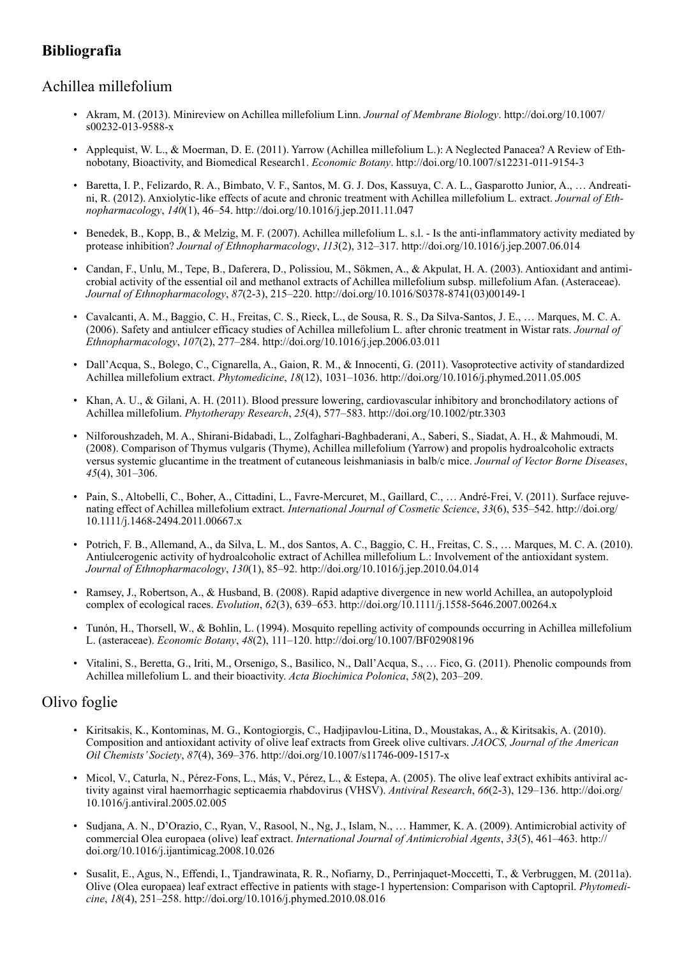# **Bibliografia**

## Achillea millefolium

- Akram, M. (2013). Minireview on Achillea millefolium Linn. *Journal of Membrane Biology*. http://doi.org/10.1007/ s00232-013-9588-x
- Applequist, W. L., & Moerman, D. E. (2011). Yarrow (Achillea millefolium L.): A Neglected Panacea? A Review of Ethnobotany, Bioactivity, and Biomedical Research1. *Economic Botany*. http://doi.org/10.1007/s12231-011-9154-3
- Baretta, I. P., Felizardo, R. A., Bimbato, V. F., Santos, M. G. J. Dos, Kassuya, C. A. L., Gasparotto Junior, A., … Andreatini, R. (2012). Anxiolytic-like effects of acute and chronic treatment with Achillea millefolium L. extract. *Journal of Ethnopharmacology*, *140*(1), 46–54. http://doi.org/10.1016/j.jep.2011.11.047
- Benedek, B., Kopp, B., & Melzig, M. F. (2007). Achillea millefolium L. s.l. Is the anti-inflammatory activity mediated by protease inhibition? *Journal of Ethnopharmacology*, *113*(2), 312–317. http://doi.org/10.1016/j.jep.2007.06.014
- Candan, F., Unlu, M., Tepe, B., Daferera, D., Polissiou, M., Sökmen, A., & Akpulat, H. A. (2003). Antioxidant and antimicrobial activity of the essential oil and methanol extracts of Achillea millefolium subsp. millefolium Afan. (Asteraceae). *Journal of Ethnopharmacology*, *87*(2-3), 215–220. http://doi.org/10.1016/S0378-8741(03)00149-1
- Cavalcanti, A. M., Baggio, C. H., Freitas, C. S., Rieck, L., de Sousa, R. S., Da Silva-Santos, J. E., … Marques, M. C. A. (2006). Safety and antiulcer efficacy studies of Achillea millefolium L. after chronic treatment in Wistar rats. *Journal of Ethnopharmacology*, *107*(2), 277–284. http://doi.org/10.1016/j.jep.2006.03.011
- Dall'Acqua, S., Bolego, C., Cignarella, A., Gaion, R. M., & Innocenti, G. (2011). Vasoprotective activity of standardized Achillea millefolium extract. *Phytomedicine*, *18*(12), 1031–1036. http://doi.org/10.1016/j.phymed.2011.05.005
- Khan, A. U., & Gilani, A. H. (2011). Blood pressure lowering, cardiovascular inhibitory and bronchodilatory actions of Achillea millefolium. *Phytotherapy Research*, *25*(4), 577–583. http://doi.org/10.1002/ptr.3303
- Nilforoushzadeh, M. A., Shirani-Bidabadi, L., Zolfaghari-Baghbaderani, A., Saberi, S., Siadat, A. H., & Mahmoudi, M. (2008). Comparison of Thymus vulgaris (Thyme), Achillea millefolium (Yarrow) and propolis hydroalcoholic extracts versus systemic glucantime in the treatment of cutaneous leishmaniasis in balb/c mice. *Journal of Vector Borne Diseases*, *45*(4), 301–306.
- Pain, S., Altobelli, C., Boher, A., Cittadini, L., Favre-Mercuret, M., Gaillard, C., … André-Frei, V. (2011). Surface rejuvenating effect of Achillea millefolium extract. *International Journal of Cosmetic Science*, *33*(6), 535–542. http://doi.org/ 10.1111/j.1468-2494.2011.00667.x
- Potrich, F. B., Allemand, A., da Silva, L. M., dos Santos, A. C., Baggio, C. H., Freitas, C. S., … Marques, M. C. A. (2010). Antiulcerogenic activity of hydroalcoholic extract of Achillea millefolium L.: Involvement of the antioxidant system. *Journal of Ethnopharmacology*, *130*(1), 85–92. http://doi.org/10.1016/j.jep.2010.04.014
- Ramsey, J., Robertson, A., & Husband, B. (2008). Rapid adaptive divergence in new world Achillea, an autopolyploid complex of ecological races. *Evolution*, *62*(3), 639–653. http://doi.org/10.1111/j.1558-5646.2007.00264.x
- Tunón, H., Thorsell, W., & Bohlin, L. (1994). Mosquito repelling activity of compounds occurring in Achillea millefolium L. (asteraceae). *Economic Botany*, *48*(2), 111–120. http://doi.org/10.1007/BF02908196
- Vitalini, S., Beretta, G., Iriti, M., Orsenigo, S., Basilico, N., Dall'Acqua, S., … Fico, G. (2011). Phenolic compounds from Achillea millefolium L. and their bioactivity. *Acta Biochimica Polonica*, *58*(2), 203–209.

## Olivo foglie

- Kiritsakis, K., Kontominas, M. G., Kontogiorgis, C., Hadjipavlou-Litina, D., Moustakas, A., & Kiritsakis, A. (2010). Composition and antioxidant activity of olive leaf extracts from Greek olive cultivars. *JAOCS, Journal of the American Oil Chemists' Society*, *87*(4), 369–376. http://doi.org/10.1007/s11746-009-1517-x
- Micol, V., Caturla, N., Pérez-Fons, L., Más, V., Pérez, L., & Estepa, A. (2005). The olive leaf extract exhibits antiviral activity against viral haemorrhagic septicaemia rhabdovirus (VHSV). *Antiviral Research*, *66*(2-3), 129–136. http://doi.org/ 10.1016/j.antiviral.2005.02.005
- Sudjana, A. N., D'Orazio, C., Ryan, V., Rasool, N., Ng, J., Islam, N., … Hammer, K. A. (2009). Antimicrobial activity of commercial Olea europaea (olive) leaf extract. *International Journal of Antimicrobial Agents*, *33*(5), 461–463. http:// doi.org/10.1016/j.ijantimicag.2008.10.026
- Susalit, E., Agus, N., Effendi, I., Tjandrawinata, R. R., Nofiarny, D., Perrinjaquet-Moccetti, T., & Verbruggen, M. (2011a). Olive (Olea europaea) leaf extract effective in patients with stage-1 hypertension: Comparison with Captopril. *Phytomedicine*, *18*(4), 251–258. http://doi.org/10.1016/j.phymed.2010.08.016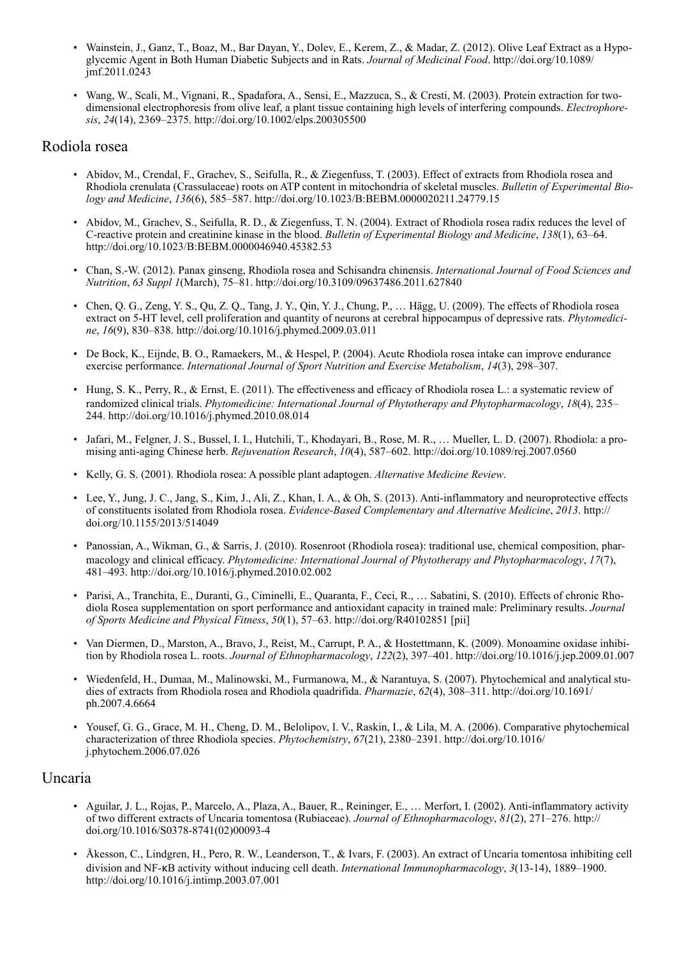- Wainstein, J., Ganz, T., Boaz, M., Bar Dayan, Y., Dolev, E., Kerem, Z., & Madar, Z. (2012). Olive Leaf Extract as a Hypoglycemic Agent in Both Human Diabetic Subjects and in Rats. *Journal of Medicinal Food*. http://doi.org/10.1089/ jmf.2011.0243
- Wang, W., Scali, M., Vignani, R., Spadafora, A., Sensi, E., Mazzuca, S., & Cresti, M. (2003). Protein extraction for twodimensional electrophoresis from olive leaf, a plant tissue containing high levels of interfering compounds. *Electrophoresis*, *24*(14), 2369–2375. http://doi.org/10.1002/elps.200305500

#### Rodiola rosea

- Abidov, M., Crendal, F., Grachev, S., Seifulla, R., & Ziegenfuss, T. (2003). Effect of extracts from Rhodiola rosea and Rhodiola crenulata (Crassulaceae) roots on ATP content in mitochondria of skeletal muscles. *Bulletin of Experimental Biology and Medicine*, *136*(6), 585–587. http://doi.org/10.1023/B:BEBM.0000020211.24779.15
- Abidov, M., Grachev, S., Seifulla, R. D., & Ziegenfuss, T. N. (2004). Extract of Rhodiola rosea radix reduces the level of C-reactive protein and creatinine kinase in the blood. *Bulletin of Experimental Biology and Medicine*, *138*(1), 63–64. http://doi.org/10.1023/B:BEBM.0000046940.45382.53
- Chan, S.-W. (2012). Panax ginseng, Rhodiola rosea and Schisandra chinensis. *International Journal of Food Sciences and Nutrition*, *63 Suppl 1*(March), 75–81. http://doi.org/10.3109/09637486.2011.627840
- Chen, Q. G., Zeng, Y. S., Qu, Z. Q., Tang, J. Y., Qin, Y. J., Chung, P., … Hägg, U. (2009). The effects of Rhodiola rosea extract on 5-HT level, cell proliferation and quantity of neurons at cerebral hippocampus of depressive rats. *Phytomedicine*, *16*(9), 830–838. http://doi.org/10.1016/j.phymed.2009.03.011
- De Bock, K., Eijnde, B. O., Ramaekers, M., & Hespel, P. (2004). Acute Rhodiola rosea intake can improve endurance exercise performance. *International Journal of Sport Nutrition and Exercise Metabolism*, *14*(3), 298–307.
- Hung, S. K., Perry, R., & Ernst, E. (2011). The effectiveness and efficacy of Rhodiola rosea L.: a systematic review of randomized clinical trials. *Phytomedicine: International Journal of Phytotherapy and Phytopharmacology*, *18*(4), 235– 244. http://doi.org/10.1016/j.phymed.2010.08.014
- Jafari, M., Felgner, J. S., Bussel, I. I., Hutchili, T., Khodayari, B., Rose, M. R., … Mueller, L. D. (2007). Rhodiola: a promising anti-aging Chinese herb. *Rejuvenation Research*, *10*(4), 587–602. http://doi.org/10.1089/rej.2007.0560
- Kelly, G. S. (2001). Rhodiola rosea: A possible plant adaptogen. *Alternative Medicine Review*.
- Lee, Y., Jung, J. C., Jang, S., Kim, J., Ali, Z., Khan, I. A., & Oh, S. (2013). Anti-inflammatory and neuroprotective effects of constituents isolated from Rhodiola rosea. *Evidence-Based Complementary and Alternative Medicine*, *2013*. http:// doi.org/10.1155/2013/514049
- Panossian, A., Wikman, G., & Sarris, J. (2010). Rosenroot (Rhodiola rosea): traditional use, chemical composition, pharmacology and clinical efficacy. *Phytomedicine: International Journal of Phytotherapy and Phytopharmacology*, *17*(7), 481–493. http://doi.org/10.1016/j.phymed.2010.02.002
- Parisi, A., Tranchita, E., Duranti, G., Ciminelli, E., Quaranta, F., Ceci, R., … Sabatini, S. (2010). Effects of chronic Rhodiola Rosea supplementation on sport performance and antioxidant capacity in trained male: Preliminary results. *Journal of Sports Medicine and Physical Fitness*, *50*(1), 57–63. http://doi.org/R40102851 [pii]
- Van Diermen, D., Marston, A., Bravo, J., Reist, M., Carrupt, P. A., & Hostettmann, K. (2009). Monoamine oxidase inhibition by Rhodiola rosea L. roots. *Journal of Ethnopharmacology*, *122*(2), 397–401. http://doi.org/10.1016/j.jep.2009.01.007
- Wiedenfeld, H., Dumaa, M., Malinowski, M., Furmanowa, M., & Narantuya, S. (2007). Phytochemical and analytical studies of extracts from Rhodiola rosea and Rhodiola quadrifida. *Pharmazie*, *62*(4), 308–311. http://doi.org/10.1691/ ph.2007.4.6664
- Yousef, G. G., Grace, M. H., Cheng, D. M., Belolipov, I. V., Raskin, I., & Lila, M. A. (2006). Comparative phytochemical characterization of three Rhodiola species. *Phytochemistry*, *67*(21), 2380–2391. http://doi.org/10.1016/ j.phytochem.2006.07.026

#### Uncaria

- Aguilar, J. L., Rojas, P., Marcelo, A., Plaza, A., Bauer, R., Reininger, E., … Merfort, I. (2002). Anti-inflammatory activity of two different extracts of Uncaria tomentosa (Rubiaceae). *Journal of Ethnopharmacology*, *81*(2), 271–276. http:// doi.org/10.1016/S0378-8741(02)00093-4
- Åkesson, C., Lindgren, H., Pero, R. W., Leanderson, T., & Ivars, F. (2003). An extract of Uncaria tomentosa inhibiting cell division and NF-κB activity without inducing cell death. *International Immunopharmacology*, *3*(13-14), 1889–1900. http://doi.org/10.1016/j.intimp.2003.07.001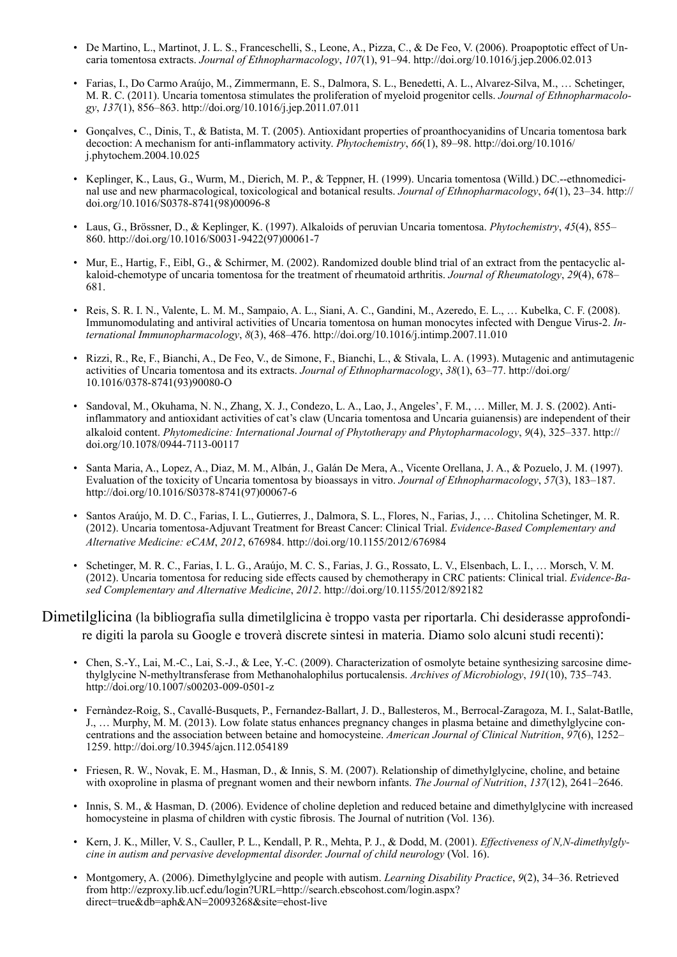- De Martino, L., Martinot, J. L. S., Franceschelli, S., Leone, A., Pizza, C., & De Feo, V. (2006). Proapoptotic effect of Uncaria tomentosa extracts. *Journal of Ethnopharmacology*, *107*(1), 91–94. http://doi.org/10.1016/j.jep.2006.02.013
- Farias, I., Do Carmo Araújo, M., Zimmermann, E. S., Dalmora, S. L., Benedetti, A. L., Alvarez-Silva, M., … Schetinger, M. R. C. (2011). Uncaria tomentosa stimulates the proliferation of myeloid progenitor cells. *Journal of Ethnopharmacology*, *137*(1), 856–863. http://doi.org/10.1016/j.jep.2011.07.011
- Gonçalves, C., Dinis, T., & Batista, M. T. (2005). Antioxidant properties of proanthocyanidins of Uncaria tomentosa bark decoction: A mechanism for anti-inflammatory activity. *Phytochemistry*, *66*(1), 89–98. http://doi.org/10.1016/ j.phytochem.2004.10.025
- Keplinger, K., Laus, G., Wurm, M., Dierich, M. P., & Teppner, H. (1999). Uncaria tomentosa (Willd.) DC.--ethnomedicinal use and new pharmacological, toxicological and botanical results. *Journal of Ethnopharmacology*, *64*(1), 23–34. http:// doi.org/10.1016/S0378-8741(98)00096-8
- Laus, G., Brössner, D., & Keplinger, K. (1997). Alkaloids of peruvian Uncaria tomentosa. *Phytochemistry*, *45*(4), 855– 860. http://doi.org/10.1016/S0031-9422(97)00061-7
- Mur, E., Hartig, F., Eibl, G., & Schirmer, M. (2002). Randomized double blind trial of an extract from the pentacyclic alkaloid-chemotype of uncaria tomentosa for the treatment of rheumatoid arthritis. *Journal of Rheumatology*, *29*(4), 678– 681.
- Reis, S. R. I. N., Valente, L. M. M., Sampaio, A. L., Siani, A. C., Gandini, M., Azeredo, E. L., … Kubelka, C. F. (2008). Immunomodulating and antiviral activities of Uncaria tomentosa on human monocytes infected with Dengue Virus-2. *International Immunopharmacology*, *8*(3), 468–476. http://doi.org/10.1016/j.intimp.2007.11.010
- Rizzi, R., Re, F., Bianchi, A., De Feo, V., de Simone, F., Bianchi, L., & Stivala, L. A. (1993). Mutagenic and antimutagenic activities of Uncaria tomentosa and its extracts. *Journal of Ethnopharmacology*, *38*(1), 63–77. http://doi.org/ 10.1016/0378-8741(93)90080-O
- Sandoval, M., Okuhama, N. N., Zhang, X. J., Condezo, L. A., Lao, J., Angeles', F. M., … Miller, M. J. S. (2002). Antiinflammatory and antioxidant activities of cat's claw (Uncaria tomentosa and Uncaria guianensis) are independent of their alkaloid content. *Phytomedicine: International Journal of Phytotherapy and Phytopharmacology*, *9*(4), 325–337. http:// doi.org/10.1078/0944-7113-00117
- Santa Maria, A., Lopez, A., Diaz, M. M., Albán, J., Galán De Mera, A., Vicente Orellana, J. A., & Pozuelo, J. M. (1997). Evaluation of the toxicity of Uncaria tomentosa by bioassays in vitro. *Journal of Ethnopharmacology*, *57*(3), 183–187. http://doi.org/10.1016/S0378-8741(97)00067-6
- Santos Araújo, M. D. C., Farias, I. L., Gutierres, J., Dalmora, S. L., Flores, N., Farias, J., … Chitolina Schetinger, M. R. (2012). Uncaria tomentosa-Adjuvant Treatment for Breast Cancer: Clinical Trial. *Evidence-Based Complementary and Alternative Medicine: eCAM*, *2012*, 676984. http://doi.org/10.1155/2012/676984
- Schetinger, M. R. C., Farias, I. L. G., Araújo, M. C. S., Farias, J. G., Rossato, L. V., Elsenbach, L. I., … Morsch, V. M. (2012). Uncaria tomentosa for reducing side effects caused by chemotherapy in CRC patients: Clinical trial. *Evidence-Based Complementary and Alternative Medicine*, *2012*. http://doi.org/10.1155/2012/892182

## Dimetilglicina (la bibliografia sulla dimetilglicina è troppo vasta per riportarla. Chi desiderasse approfondire digiti la parola su Google e troverà discrete sintesi in materia. Diamo solo alcuni studi recenti):

- Chen, S.-Y., Lai, M.-C., Lai, S.-J., & Lee, Y.-C. (2009). Characterization of osmolyte betaine synthesizing sarcosine dimethylglycine N-methyltransferase from Methanohalophilus portucalensis. *Archives of Microbiology*, *191*(10), 735–743. http://doi.org/10.1007/s00203-009-0501-z
- Fernàndez-Roig, S., Cavallé-Busquets, P., Fernandez-Ballart, J. D., Ballesteros, M., Berrocal-Zaragoza, M. I., Salat-Batlle, J., … Murphy, M. M. (2013). Low folate status enhances pregnancy changes in plasma betaine and dimethylglycine concentrations and the association between betaine and homocysteine. *American Journal of Clinical Nutrition*, *97*(6), 1252– 1259. http://doi.org/10.3945/ajcn.112.054189
- Friesen, R. W., Novak, E. M., Hasman, D., & Innis, S. M. (2007). Relationship of dimethylglycine, choline, and betaine with oxoproline in plasma of pregnant women and their newborn infants. *The Journal of Nutrition*, *137*(12), 2641–2646.
- Innis, S. M., & Hasman, D. (2006). Evidence of choline depletion and reduced betaine and dimethylglycine with increased homocysteine in plasma of children with cystic fibrosis. The Journal of nutrition (Vol. 136).
- Kern, J. K., Miller, V. S., Cauller, P. L., Kendall, P. R., Mehta, P. J., & Dodd, M. (2001). *Effectiveness of N,N-dimethylglycine in autism and pervasive developmental disorder. Journal of child neurology* (Vol. 16).
- Montgomery, A. (2006). Dimethylglycine and people with autism. *Learning Disability Practice*, *9*(2), 34–36. Retrieved from http://ezproxy.lib.ucf.edu/login?URL=http://search.ebscohost.com/login.aspx? direct=true&db=aph&AN=20093268&site=ehost-live